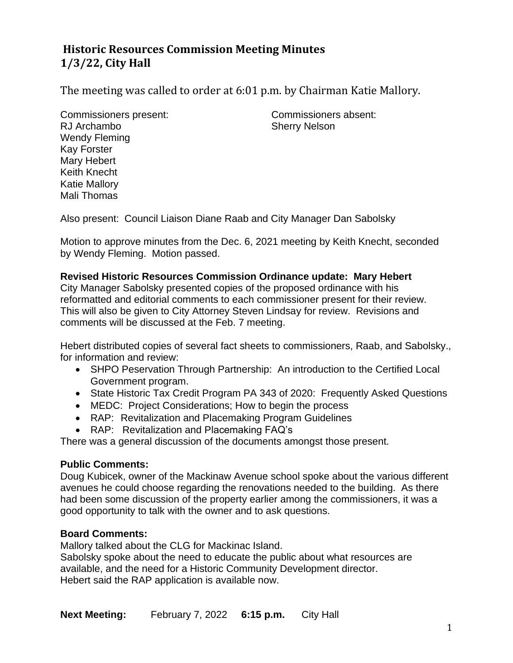# **Historic Resources Commission Meeting Minutes 1/3/22, City Hall**

The meeting was called to order at 6:01 p.m. by Chairman Katie Mallory.

Commissioners present: Commissioners absent: RJ Archambo Sherry Nelson Wendy Fleming Kay Forster Mary Hebert Keith Knecht Katie Mallory Mali Thomas

Also present: Council Liaison Diane Raab and City Manager Dan Sabolsky

Motion to approve minutes from the Dec. 6, 2021 meeting by Keith Knecht, seconded by Wendy Fleming. Motion passed.

#### **Revised Historic Resources Commission Ordinance update: Mary Hebert**

City Manager Sabolsky presented copies of the proposed ordinance with his reformatted and editorial comments to each commissioner present for their review. This will also be given to City Attorney Steven Lindsay for review. Revisions and comments will be discussed at the Feb. 7 meeting.

Hebert distributed copies of several fact sheets to commissioners, Raab, and Sabolsky., for information and review:

- SHPO Peservation Through Partnership: An introduction to the Certified Local Government program.
- State Historic Tax Credit Program PA 343 of 2020: Frequently Asked Questions
- MEDC: Project Considerations; How to begin the process
- RAP: Revitalization and Placemaking Program Guidelines
- RAP: Revitalization and Placemaking FAQ's

There was a general discussion of the documents amongst those present.

#### **Public Comments:**

Doug Kubicek, owner of the Mackinaw Avenue school spoke about the various different avenues he could choose regarding the renovations needed to the building. As there had been some discussion of the property earlier among the commissioners, it was a good opportunity to talk with the owner and to ask questions.

### **Board Comments:**

Mallory talked about the CLG for Mackinac Island.

Sabolsky spoke about the need to educate the public about what resources are available, and the need for a Historic Community Development director. Hebert said the RAP application is available now.